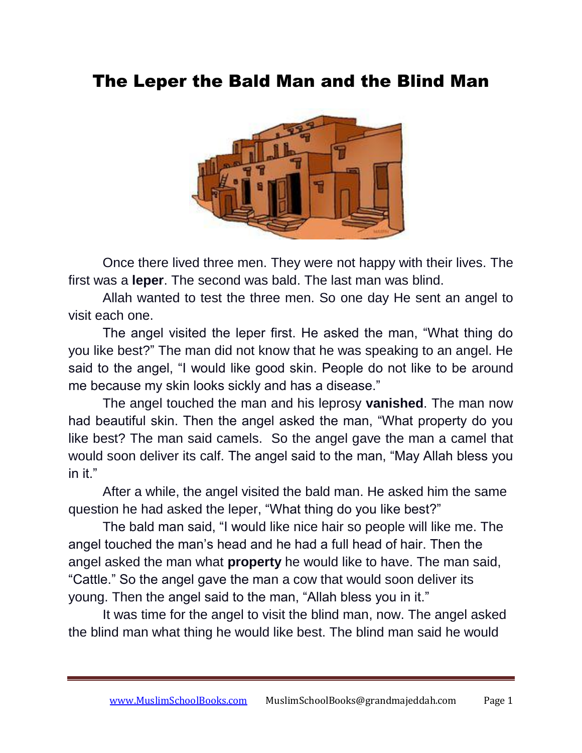## The Leper the Bald Man and the Blind Man



Once there lived three men. They were not happy with their lives. The first was a **leper**. The second was bald. The last man was blind.

Allah wanted to test the three men. So one day He sent an angel to visit each one.

The angel visited the leper first. He asked the man, "What thing do you like best?" The man did not know that he was speaking to an angel. He said to the angel, "I would like good skin. People do not like to be around me because my skin looks sickly and has a disease."

The angel touched the man and his leprosy **vanished**. The man now had beautiful skin. Then the angel asked the man, "What property do you like best? The man said camels. So the angel gave the man a camel that would soon deliver its calf. The angel said to the man, "May Allah bless you in it."

After a while, the angel visited the bald man. He asked him the same question he had asked the leper, "What thing do you like best?"

The bald man said, "I would like nice hair so people will like me. The angel touched the man's head and he had a full head of hair. Then the angel asked the man what **property** he would like to have. The man said, "Cattle." So the angel gave the man a cow that would soon deliver its young. Then the angel said to the man, "Allah bless you in it."

It was time for the angel to visit the blind man, now. The angel asked the blind man what thing he would like best. The blind man said he would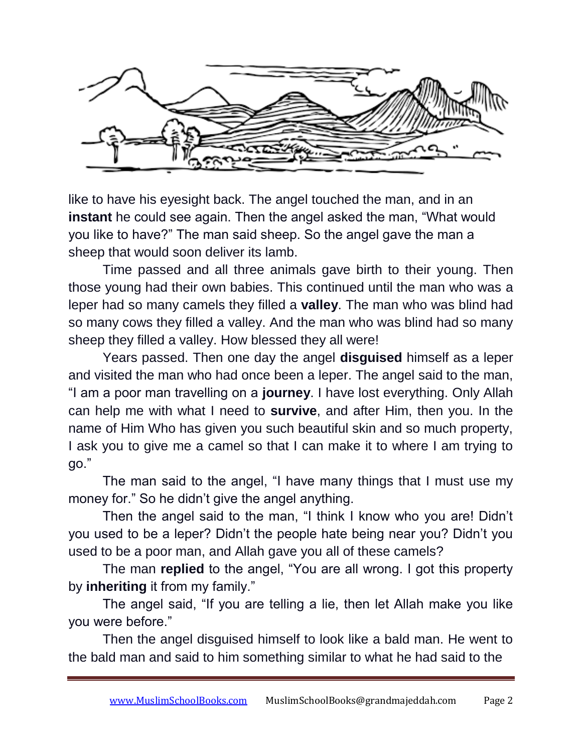

like to have his eyesight back. The angel touched the man, and in an **instant** he could see again. Then the angel asked the man, "What would you like to have?" The man said sheep. So the angel gave the man a sheep that would soon deliver its lamb.

Time passed and all three animals gave birth to their young. Then those young had their own babies. This continued until the man who was a leper had so many camels they filled a **valley**. The man who was blind had so many cows they filled a valley. And the man who was blind had so many sheep they filled a valley. How blessed they all were!

Years passed. Then one day the angel **disguised** himself as a leper and visited the man who had once been a leper. The angel said to the man, "I am a poor man travelling on a **journey**. I have lost everything. Only Allah can help me with what I need to **survive**, and after Him, then you. In the name of Him Who has given you such beautiful skin and so much property, I ask you to give me a camel so that I can make it to where I am trying to go."

The man said to the angel, "I have many things that I must use my money for." So he didn't give the angel anything.

Then the angel said to the man, "I think I know who you are! Didn't you used to be a leper? Didn't the people hate being near you? Didn't you used to be a poor man, and Allah gave you all of these camels?

The man **replied** to the angel, "You are all wrong. I got this property by **inheriting** it from my family."

The angel said, "If you are telling a lie, then let Allah make you like you were before."

Then the angel disguised himself to look like a bald man. He went to the bald man and said to him something similar to what he had said to the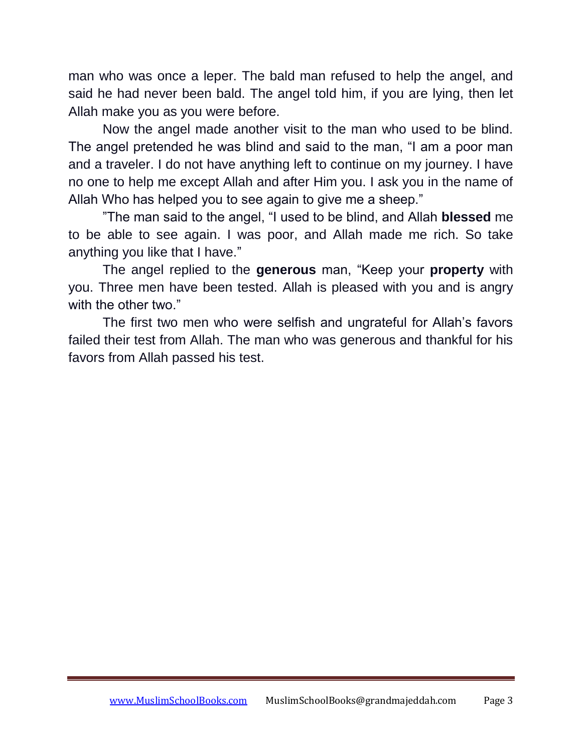man who was once a leper. The bald man refused to help the angel, and said he had never been bald. The angel told him, if you are lying, then let Allah make you as you were before.

Now the angel made another visit to the man who used to be blind. The angel pretended he was blind and said to the man, "I am a poor man and a traveler. I do not have anything left to continue on my journey. I have no one to help me except Allah and after Him you. I ask you in the name of Allah Who has helped you to see again to give me a sheep."

"The man said to the angel, "I used to be blind, and Allah **blessed** me to be able to see again. I was poor, and Allah made me rich. So take anything you like that I have."

The angel replied to the **generous** man, "Keep your **property** with you. Three men have been tested. Allah is pleased with you and is angry with the other two."

The first two men who were selfish and ungrateful for Allah's favors failed their test from Allah. The man who was generous and thankful for his favors from Allah passed his test.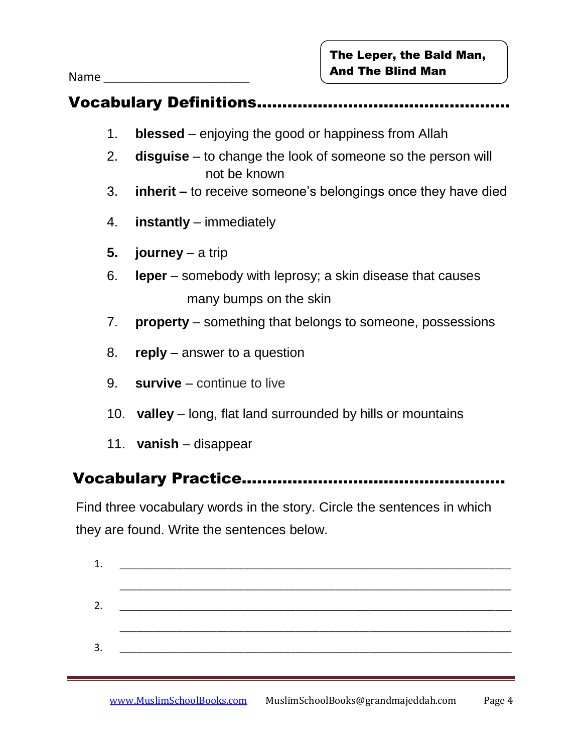Name

### Vocabulary Definitions…………………………..………………

- 1. **blessed** enjoying the good or happiness from Allah
- 2. **disguise** to change the look of someone so the person will not be known
- 3. **inherit –** to receive someone's belongings once they have died
- 4. **instantly** immediately
- **5. journey** a trip
- 6. **leper** somebody with leprosy; a skin disease that causes many bumps on the skin
- 7. **property** something that belongs to someone, possessions
- 8. **reply**  answer to a question
- 9. **survive**  continue to live
- 10. **valley**  long, flat land surrounded by hills or mountains
- 11. **vanish**  disappear

#### Vocabulary Practice…………………………………………….

 Find three vocabulary words in the story. Circle the sentences in which they are found. Write the sentences below.

| 1. |  |
|----|--|
|    |  |
| 2. |  |
|    |  |
| 3. |  |
|    |  |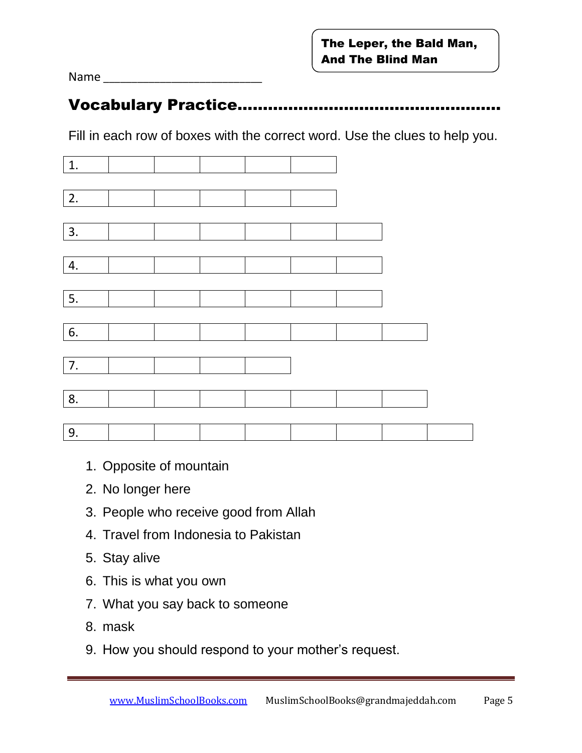Name

#### **Vocabulary Practice……**

Fill in each row of boxes with the correct word. Use the clues to help you.

| 1.               |  |  |  |  |
|------------------|--|--|--|--|
|                  |  |  |  |  |
| $\boxed{2}$ .    |  |  |  |  |
|                  |  |  |  |  |
| $\vert$ 3.       |  |  |  |  |
|                  |  |  |  |  |
| 4.               |  |  |  |  |
|                  |  |  |  |  |
| $\overline{5}$ . |  |  |  |  |
|                  |  |  |  |  |
| 6.               |  |  |  |  |
|                  |  |  |  |  |
| 7.               |  |  |  |  |
|                  |  |  |  |  |
| 8.               |  |  |  |  |
|                  |  |  |  |  |
| 9.               |  |  |  |  |

- 1. Opposite of mountain
- 2. No longer here
- 3. People who receive good from Allah
- 4. Travel from Indonesia to Pakistan
- 5. Stay alive
- 6. This is what you own
- 7. What you say back to someone
- 8. mask
- 9. How you should respond to your mother's request.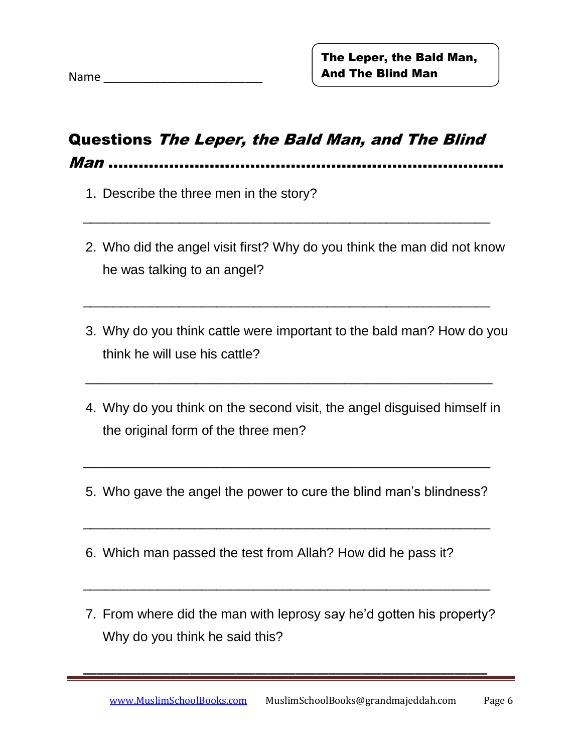### Questions The Leper, the Bald Man, and The Blind

 $\overline{\phantom{a}}$  ,  $\overline{\phantom{a}}$  ,  $\overline{\phantom{a}}$  ,  $\overline{\phantom{a}}$  ,  $\overline{\phantom{a}}$  ,  $\overline{\phantom{a}}$  ,  $\overline{\phantom{a}}$  ,  $\overline{\phantom{a}}$  ,  $\overline{\phantom{a}}$  ,  $\overline{\phantom{a}}$  ,  $\overline{\phantom{a}}$  ,  $\overline{\phantom{a}}$  ,  $\overline{\phantom{a}}$  ,  $\overline{\phantom{a}}$  ,  $\overline{\phantom{a}}$  ,  $\overline{\phantom{a}}$ 

 $\overline{\phantom{a}}$  ,  $\overline{\phantom{a}}$  ,  $\overline{\phantom{a}}$  ,  $\overline{\phantom{a}}$  ,  $\overline{\phantom{a}}$  ,  $\overline{\phantom{a}}$  ,  $\overline{\phantom{a}}$  ,  $\overline{\phantom{a}}$  ,  $\overline{\phantom{a}}$  ,  $\overline{\phantom{a}}$  ,  $\overline{\phantom{a}}$  ,  $\overline{\phantom{a}}$  ,  $\overline{\phantom{a}}$  ,  $\overline{\phantom{a}}$  ,  $\overline{\phantom{a}}$  ,  $\overline{\phantom{a}}$ 

Man ……………………………………………………………………

- 1. Describe the three men in the story?
- 2. Who did the angel visit first? Why do you think the man did not know he was talking to an angel?
- 3. Why do you think cattle were important to the bald man? How do you think he will use his cattle?
- 4. Why do you think on the second visit, the angel disguised himself in the original form of the three men?

\_\_\_\_\_\_\_\_\_\_\_\_\_\_\_\_\_\_\_\_\_\_\_\_\_\_\_\_\_\_\_\_\_\_\_\_\_\_\_\_\_\_\_\_\_\_\_\_\_\_\_\_\_\_\_

5. Who gave the angel the power to cure the blind man's blindness?

 $\overline{\phantom{a}}$  ,  $\overline{\phantom{a}}$  ,  $\overline{\phantom{a}}$  ,  $\overline{\phantom{a}}$  ,  $\overline{\phantom{a}}$  ,  $\overline{\phantom{a}}$  ,  $\overline{\phantom{a}}$  ,  $\overline{\phantom{a}}$  ,  $\overline{\phantom{a}}$  ,  $\overline{\phantom{a}}$  ,  $\overline{\phantom{a}}$  ,  $\overline{\phantom{a}}$  ,  $\overline{\phantom{a}}$  ,  $\overline{\phantom{a}}$  ,  $\overline{\phantom{a}}$  ,  $\overline{\phantom{a}}$ 

 $\overline{\phantom{a}}$  ,  $\overline{\phantom{a}}$  ,  $\overline{\phantom{a}}$  ,  $\overline{\phantom{a}}$  ,  $\overline{\phantom{a}}$  ,  $\overline{\phantom{a}}$  ,  $\overline{\phantom{a}}$  ,  $\overline{\phantom{a}}$  ,  $\overline{\phantom{a}}$  ,  $\overline{\phantom{a}}$  ,  $\overline{\phantom{a}}$  ,  $\overline{\phantom{a}}$  ,  $\overline{\phantom{a}}$  ,  $\overline{\phantom{a}}$  ,  $\overline{\phantom{a}}$  ,  $\overline{\phantom{a}}$ 

 $\overline{\phantom{a}...}$  ,  $\overline{\phantom{a}...}$  ,  $\overline{\phantom{a}...}$  ,  $\overline{\phantom{a}...}$  ,  $\overline{\phantom{a}...}$  ,  $\overline{\phantom{a}...}$  ,  $\overline{\phantom{a}...}$  ,  $\overline{\phantom{a}...}$  ,  $\overline{\phantom{a}...}$  ,  $\overline{\phantom{a}...}$  ,  $\overline{\phantom{a}...}$  ,  $\overline{\phantom{a}...}$  ,  $\overline{\phantom{a}...}$  ,  $\overline{\phantom{a}...}$ 

 **\_\_\_\_\_\_\_\_\_\_\_\_\_\_\_\_\_\_\_\_\_\_\_\_\_\_\_\_\_\_\_\_\_\_\_\_\_\_\_\_\_\_\_\_\_\_\_\_\_\_\_\_\_\_\_\_\_\_\_\_\_**

- 6. Which man passed the test from Allah? How did he pass it?
- 7. From where did the man with leprosy say he'd gotten his property? Why do you think he said this?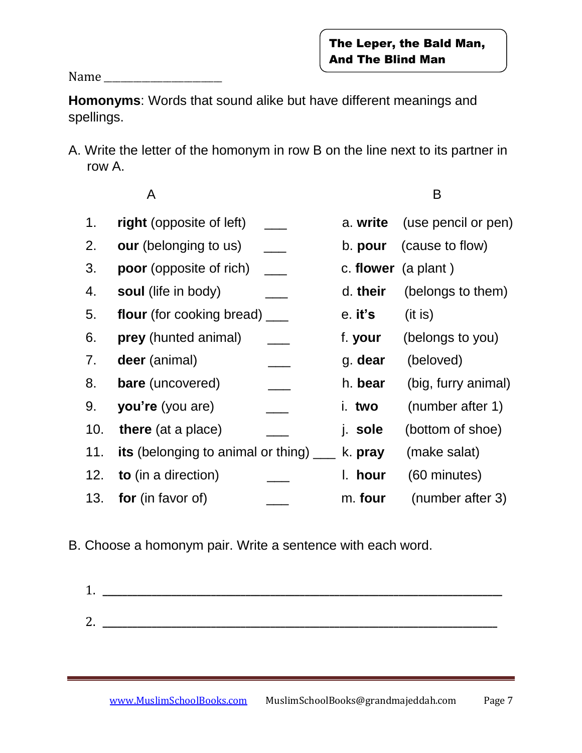Name \_\_\_\_\_\_\_\_\_\_\_\_\_\_\_\_\_\_\_\_\_\_\_\_\_\_\_\_

**Homonyms**: Words that sound alike but have different meanings and spellings.

A. Write the letter of the homonym in row B on the line next to its partner in row A.

A B

| 1.  | right (opposite of left)                       |                            | a. write              | (use pencil or pen) |
|-----|------------------------------------------------|----------------------------|-----------------------|---------------------|
| 2.  | <b>our</b> (belonging to us)                   | $\mathcal{L}^{\text{max}}$ | b. pour               | (cause to flow)     |
| 3.  | <b>poor</b> (opposite of rich)                 |                            | c. flower $(a plant)$ |                     |
| 4.  | soul (life in body)                            |                            | d. their              | (belongs to them)   |
| 5.  | flour (for cooking bread) ____                 |                            | e. it's               | (it is)             |
| 6.  | prey (hunted animal)                           |                            | f. your               | (belongs to you)    |
| 7.  | deer (animal)                                  |                            | g. dear               | (beloved)           |
| 8.  | bare (uncovered)                               |                            | h. bear               | (big, furry animal) |
| 9.  | you're (you are)                               |                            | i. two                | (number after 1)    |
| 10. | <b>there</b> (at a place)                      |                            | j. sole               | (bottom of shoe)    |
| 11. | <b>its</b> (belonging to animal or thing) ____ |                            | k. pray               | (make salat)        |
| 12. | to (in a direction)                            |                            | I. hour               | (60 minutes)        |
|     | 13. <b>for</b> (in favor of)                   |                            | m. four               | (number after 3)    |

B. Choose a homonym pair. Write a sentence with each word.

1. **\_\_\_\_\_\_\_\_\_\_\_\_\_\_\_\_\_\_\_\_\_\_\_\_\_\_\_\_\_\_\_\_\_\_\_\_\_\_\_\_\_\_\_\_\_\_\_\_\_\_\_\_\_\_\_\_\_\_\_\_\_\_\_\_\_\_\_\_\_\_\_\_\_\_\_\_\_\_\_\_\_** 2. **\_\_\_\_\_\_\_\_\_\_\_\_\_\_\_\_\_\_\_\_\_\_\_\_\_\_\_\_\_\_\_\_\_\_\_\_\_\_\_\_\_\_\_\_\_\_\_\_\_\_\_\_\_\_\_\_\_\_\_\_\_\_\_\_\_\_\_\_\_\_\_\_\_\_\_\_\_\_\_\_**